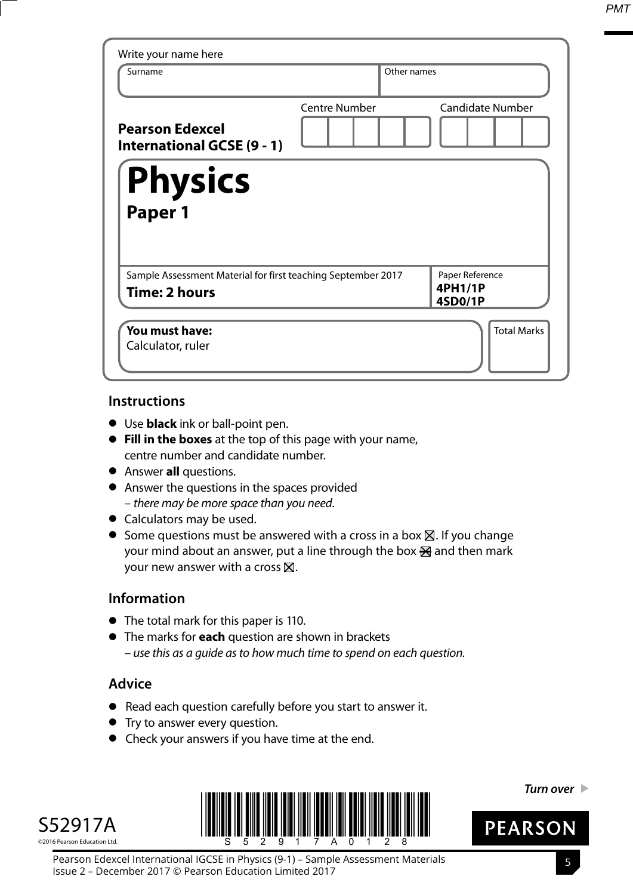|                                                                                      | Other names          |                            |
|--------------------------------------------------------------------------------------|----------------------|----------------------------|
| <b>Pearson Edexcel</b><br><b>International GCSE (9 - 1)</b>                          | <b>Centre Number</b> | <b>Candidate Number</b>    |
| <b>Physics</b>                                                                       |                      |                            |
| Paper 1                                                                              |                      |                            |
|                                                                                      |                      |                            |
|                                                                                      |                      |                            |
| Sample Assessment Material for first teaching September 2017<br><b>Time: 2 hours</b> |                      | Paper Reference<br>4PH1/1P |

#### **Instructions**

- **•** Use **black** ink or ball-point pen.
- **• Fill in the boxes** at the top of this page with your name, centre number and candidate number.
- **•** Answer **all** questions.
- **•** Answer the questions in the spaces provided – *there may be more space than you need*.
- **•** Calculators may be used.
- Some questions must be answered with a cross in a box  $\boxtimes$ . If you change your mind about an answer, put a line through the box  $\mathbb{R}$  and then mark your new answer with a cross  $\boxtimes$ .

## **Information**

- **•** The total mark for this paper is 110.
- **•** The marks for **each** question are shown in brackets *– use this as a guide as to how much time to spend on each question.*

# **Advice**

- **•** Read each question carefully before you start to answer it.
- **•** Try to answer every question.
- **•** Check your answers if you have time at the end.





*Turn over* 

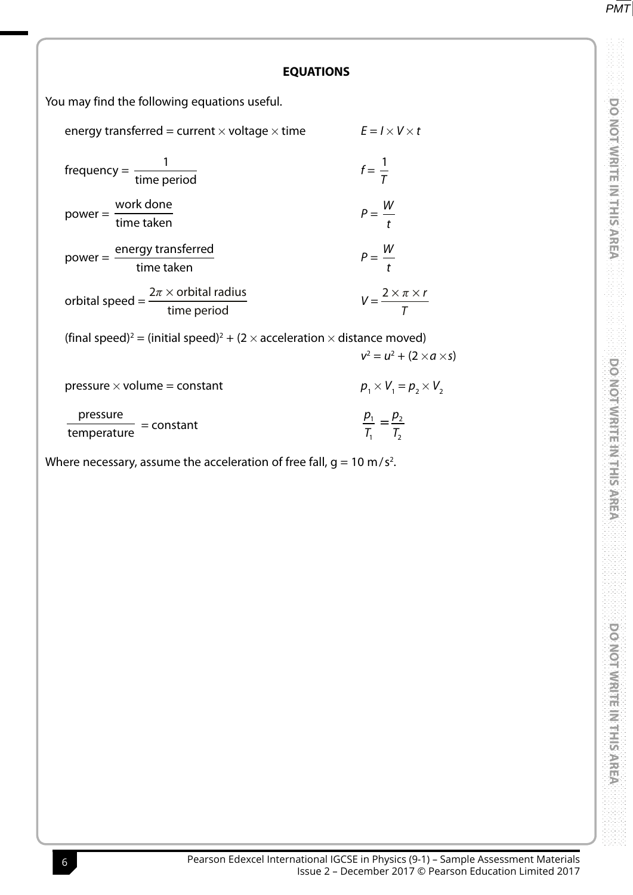## **EQUATIONS**

You may find the following equations useful.

energy transferred = current  $\times$  voltage  $\times$  time  $E = I \times V \times t$ 

| $frequency = \frac{1}{time period}$                                            | $f = -$                               |
|--------------------------------------------------------------------------------|---------------------------------------|
| work done<br>$power = \frac{1244660}{time taken}$                              |                                       |
| energy transferred<br>time taken<br>$power =$                                  |                                       |
| orbital speed = $\frac{2\pi \times \text{orbital radius}}{\text{time period}}$ | $V = \frac{2 \times \pi \times r}{r}$ |

(final speed)<sup>2</sup> = (initial speed)<sup>2</sup> + (2  $\times$  acceleration  $\times$  distance moved)  $V^2$  $= u^2 + (2 \times a \times s)$ 

pressure  $\times$  volume = constant

pressure temperature = constant

Where necessary, assume the acceleration of free fall,  $g = 10 \text{ m/s}^2$ .

 $p_1 \times V_1 = p_2 \times V_2$ 

*p T*

2 2

*p T*

1 1

=

 **DO NOT WRITE IN THIS AREA DO NOT WRITE IN THIS AREA DO NOT WRITE IN THIS AREA**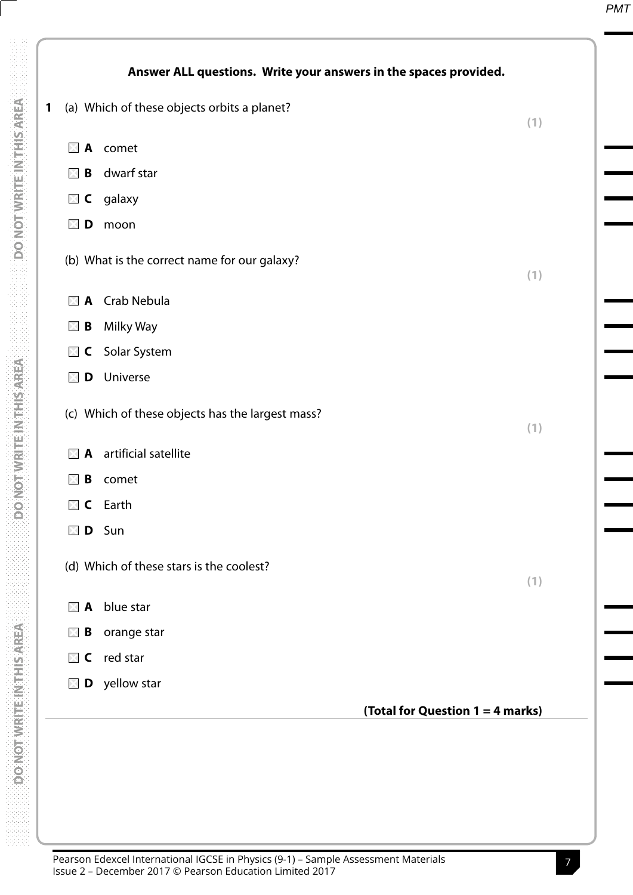|                   |               | Answer ALL questions. Write your answers in the spaces provided. |     |
|-------------------|---------------|------------------------------------------------------------------|-----|
|                   |               | (a) Which of these objects orbits a planet?                      | (1) |
|                   |               | A comet                                                          |     |
|                   | $\times$ B    | dwarf star                                                       |     |
|                   | $\boxtimes$ C | galaxy                                                           |     |
| $\times$          | D             | moon                                                             |     |
|                   |               | (b) What is the correct name for our galaxy?                     | (1) |
|                   |               | $\blacksquare$ <b>A</b> Crab Nebula                              |     |
| $\boxtimes$       | B             | Milky Way                                                        |     |
|                   | C<br>$\times$ | Solar System                                                     |     |
| $\times$          | D             | Universe                                                         |     |
|                   |               | (c) Which of these objects has the largest mass?                 | (1) |
|                   | $\boxtimes$ A | artificial satellite                                             |     |
| $\times$          | B             | comet                                                            |     |
| $\times$          | $\mathsf{C}$  | Earth                                                            |     |
| $\times$          |               | <b>D</b> Sun                                                     |     |
|                   |               | (d) Which of these stars is the coolest?                         | (1) |
| $\times$          | $\mathbf{A}$  | blue star                                                        |     |
| $\mathbb{\times}$ | В             | orange star                                                      |     |
|                   |               | $\blacksquare$ C red star                                        |     |
|                   |               | <b>D</b> yellow star                                             |     |
| $\times$          |               |                                                                  |     |

 **DO NOT WRITE IN THIS AREA DO NOT WRITE IN THIS AREA DO NOT WRITE IN THIS AREA**

**DO NOT WRITEIN THIS AREA** 

**DO NOT WRITEIN THIS AREA**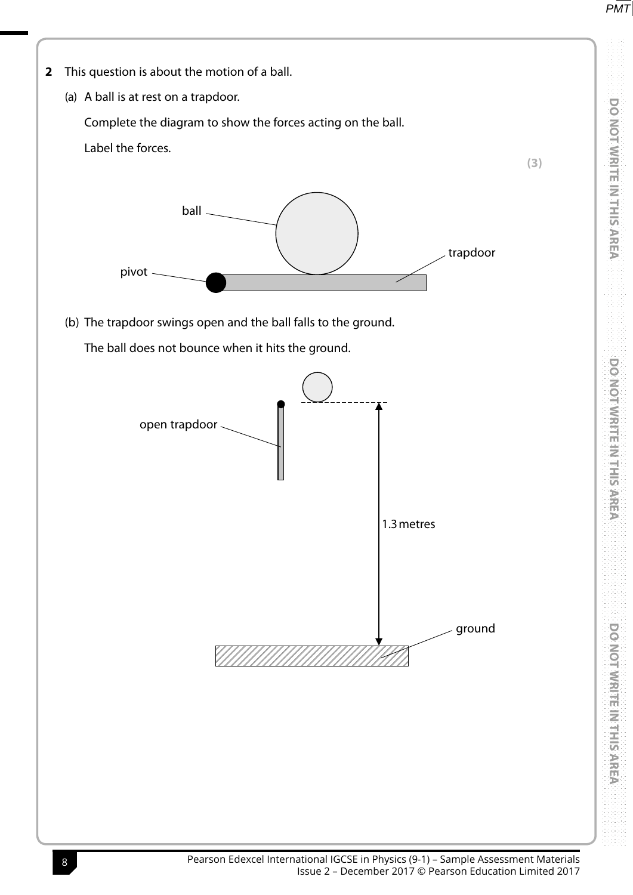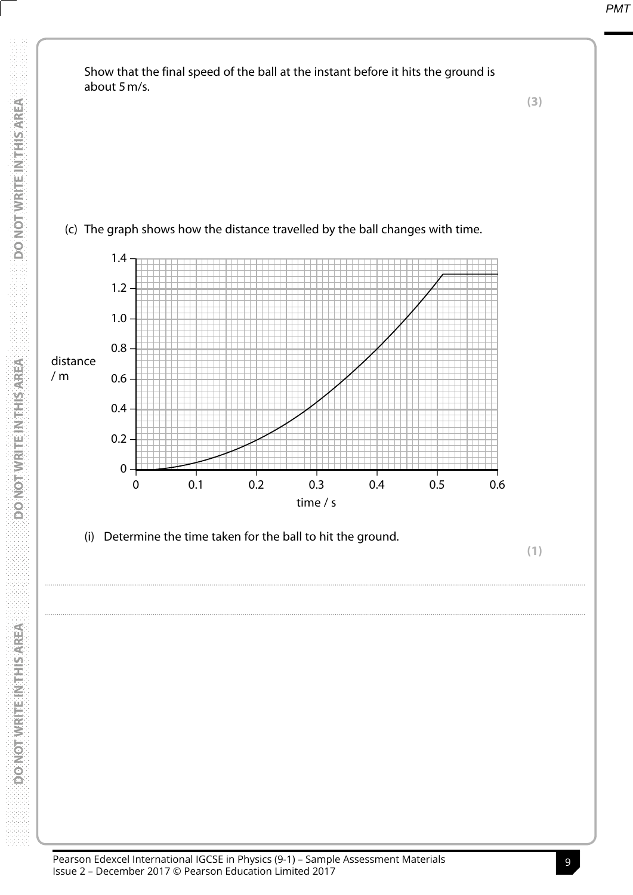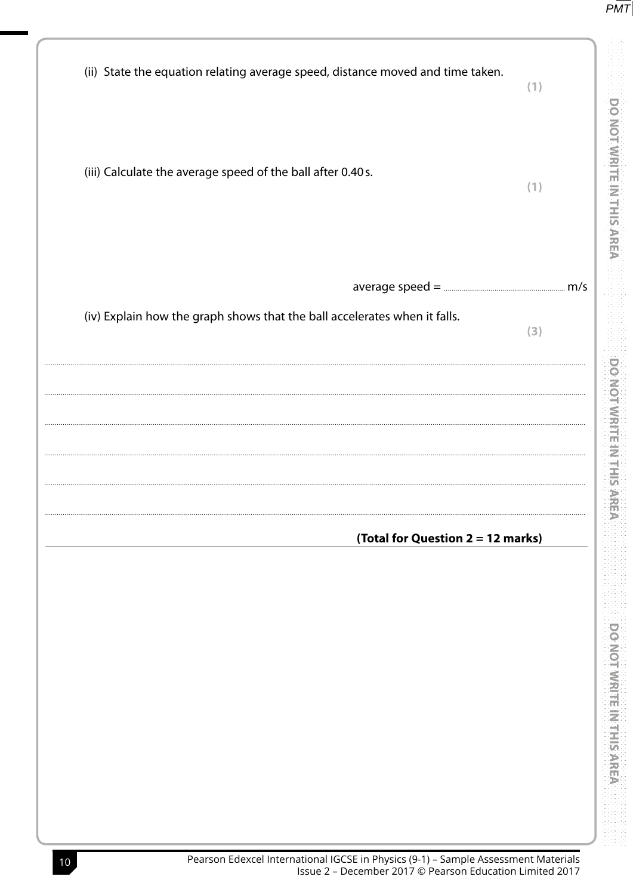DO NOT WRITE IN THIS AREA

DO NOT WRITE IN THIS AREA

DO NOT WRITE IN THIS AREA

| (ii) State the equation relating average speed, distance moved and time taken. | (1) |  |
|--------------------------------------------------------------------------------|-----|--|
| (iii) Calculate the average speed of the ball after 0.40 s.                    | (1) |  |
| (iv) Explain how the graph shows that the ball accelerates when it falls.      |     |  |
|                                                                                | (3) |  |
|                                                                                |     |  |
| (Total for Question 2 = 12 marks)                                              |     |  |
|                                                                                |     |  |
|                                                                                |     |  |
|                                                                                |     |  |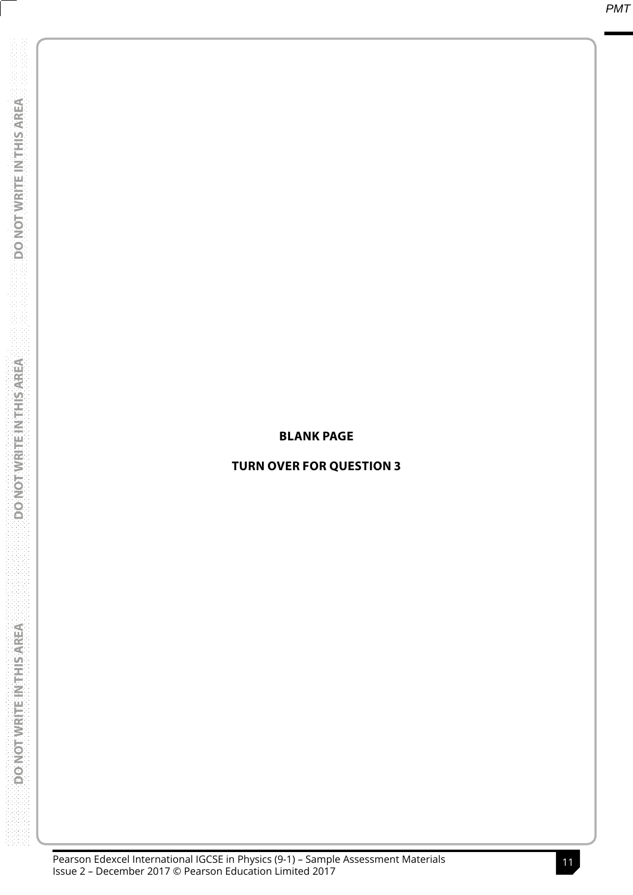2929

**BLANK PAGE** 

**TURN OVER FOR QUESTION 3**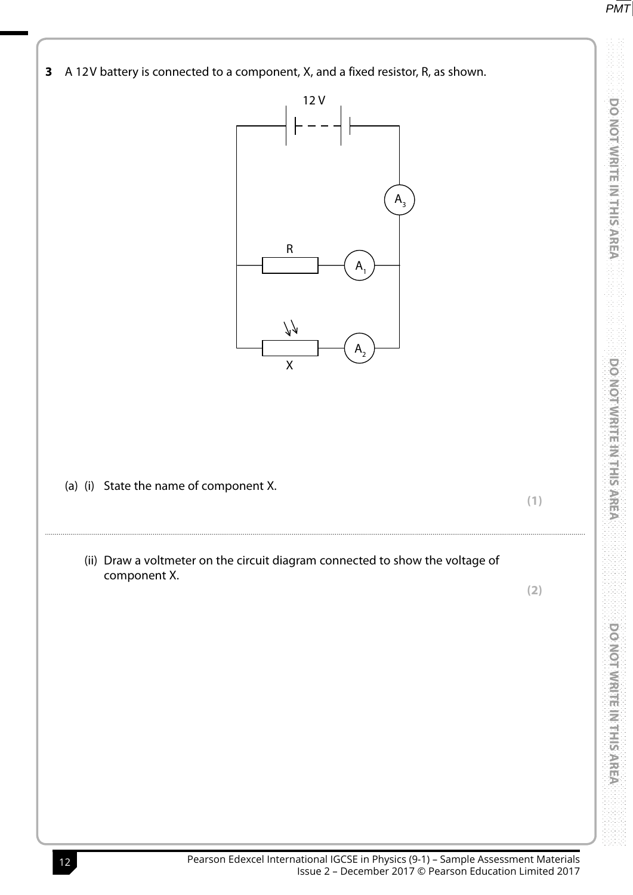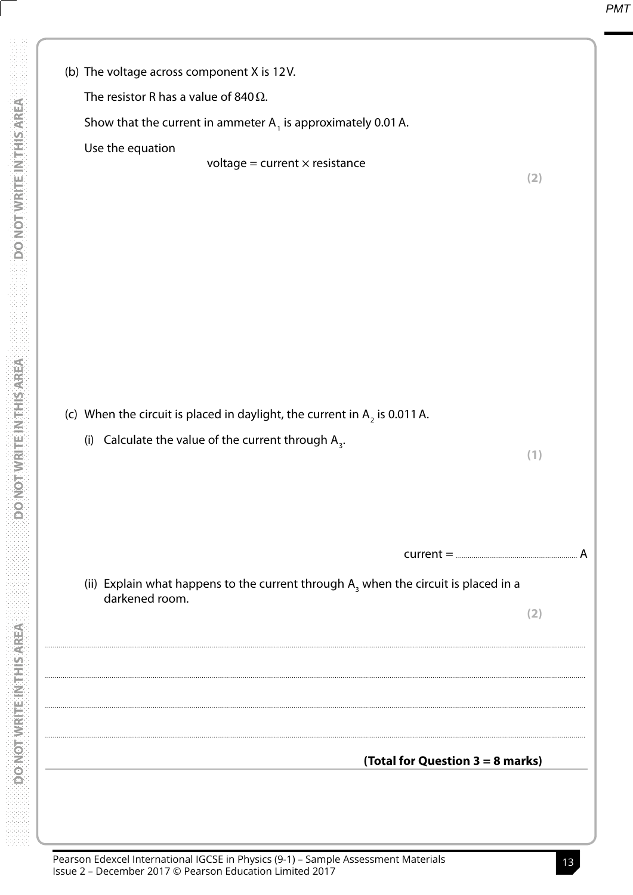| The resistor R has a value of 840 $\Omega$ . |                                                                                        |                                  |
|----------------------------------------------|----------------------------------------------------------------------------------------|----------------------------------|
|                                              | Show that the current in ammeter $A_1$ is approximately 0.01 A.                        |                                  |
| Use the equation                             | voltage = $current \times resistance$                                                  | (2)                              |
|                                              |                                                                                        |                                  |
|                                              | (c) When the circuit is placed in daylight, the current in $A_2$ is 0.011 A.           |                                  |
|                                              | (i) Calculate the value of the current through $A_3$ .                                 | (1)                              |
|                                              |                                                                                        |                                  |
| darkened room.                               | (ii) Explain what happens to the current through $A_3$ when the circuit is placed in a | (2)                              |
|                                              |                                                                                        |                                  |
|                                              |                                                                                        | (Total for Question 3 = 8 marks) |

**DO NOT WRITE IN THIS AREA** 

**DO NOT WRITEIN THIS AREA**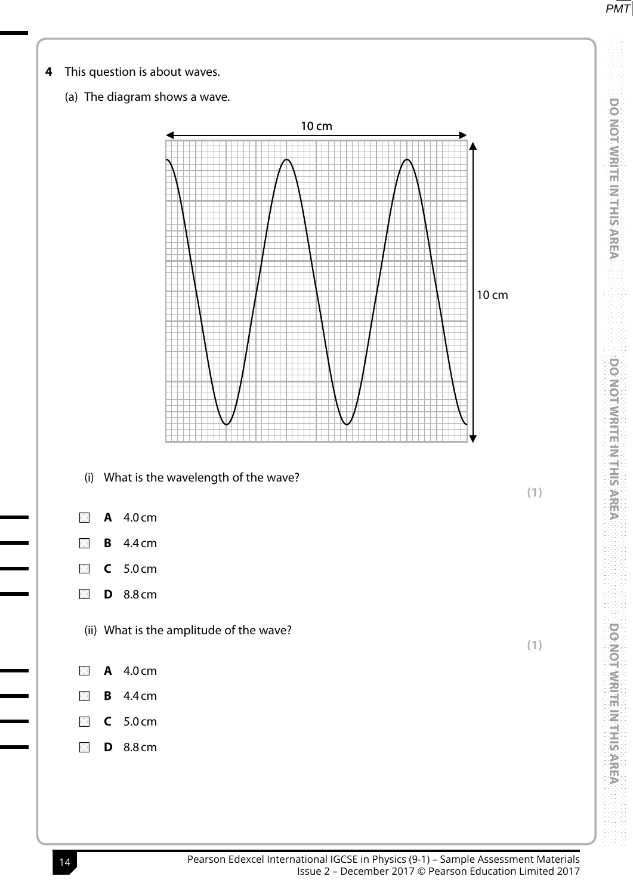

 **DO NOT WRITE IN THIS AREA DO NOT WRITE IN THIS AREA DO NOT WRITE IS AREA DO NOT WRITE IN THIS AREA** 

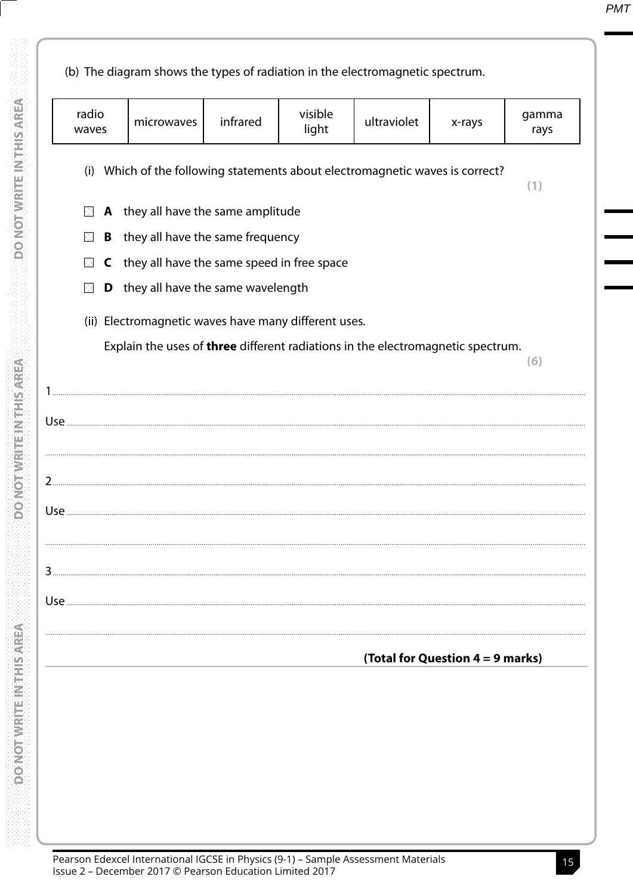(b) The diagram shows the types of radiation in the electromagnetic spectrum. radio visible gamma infrared ultraviolet microwaves x-rays light waves rays (i) Which of the following statements about electromagnetic waves is correct?  $(1)$  $\blacksquare$  **A** they all have the same amplitude they all have the same frequency  $\boxtimes$  B  $\blacksquare$  C they all have the same speed in free space  $\Box$  **D** they all have the same wavelength (ii) Electromagnetic waves have many different uses. Explain the uses of three different radiations in the electromagnetic spectrum.  $(6)$  $\mathbf{1}$  $U$ se  $\overline{U}$ (Total for Question  $4 = 9$  marks)

**DO NOT WRITE IN THIS AREA** 

**DO NOT WRITE IN THIS AREA** 

**ASSISTMENT EN TENNITO CO**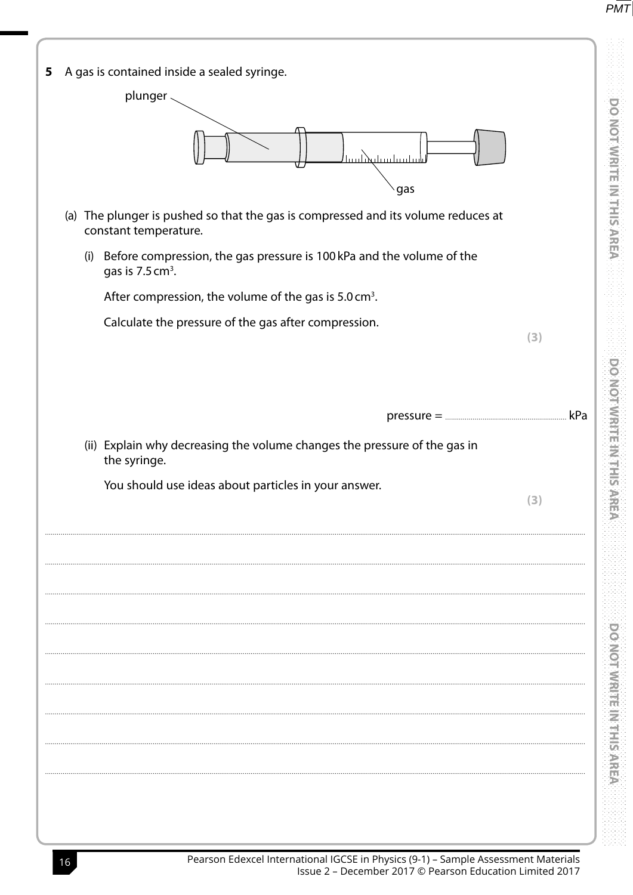|--|

| 5 | A gas is contained inside a sealed syringe.                                                                  |     |     |
|---|--------------------------------------------------------------------------------------------------------------|-----|-----|
|   | plunger.                                                                                                     |     |     |
|   | ليسلسبليهان                                                                                                  |     |     |
|   | gas                                                                                                          |     |     |
|   | (a) The plunger is pushed so that the gas is compressed and its volume reduces at<br>constant temperature.   |     |     |
|   | Before compression, the gas pressure is 100 kPa and the volume of the<br>(i)<br>gas is 7.5 cm <sup>3</sup> . |     |     |
|   | After compression, the volume of the gas is 5.0 cm <sup>3</sup> .                                            |     |     |
|   | Calculate the pressure of the gas after compression.                                                         | (3) |     |
|   |                                                                                                              |     |     |
|   |                                                                                                              |     | kPa |
|   | (ii) Explain why decreasing the volume changes the pressure of the gas in<br>the syringe.                    |     |     |
|   | You should use ideas about particles in your answer.                                                         | (3) |     |
|   |                                                                                                              |     |     |
|   |                                                                                                              |     |     |
|   |                                                                                                              |     |     |
|   |                                                                                                              |     |     |
|   |                                                                                                              |     |     |
|   |                                                                                                              |     |     |
|   |                                                                                                              |     |     |
|   |                                                                                                              |     |     |
|   |                                                                                                              |     |     |
|   |                                                                                                              |     |     |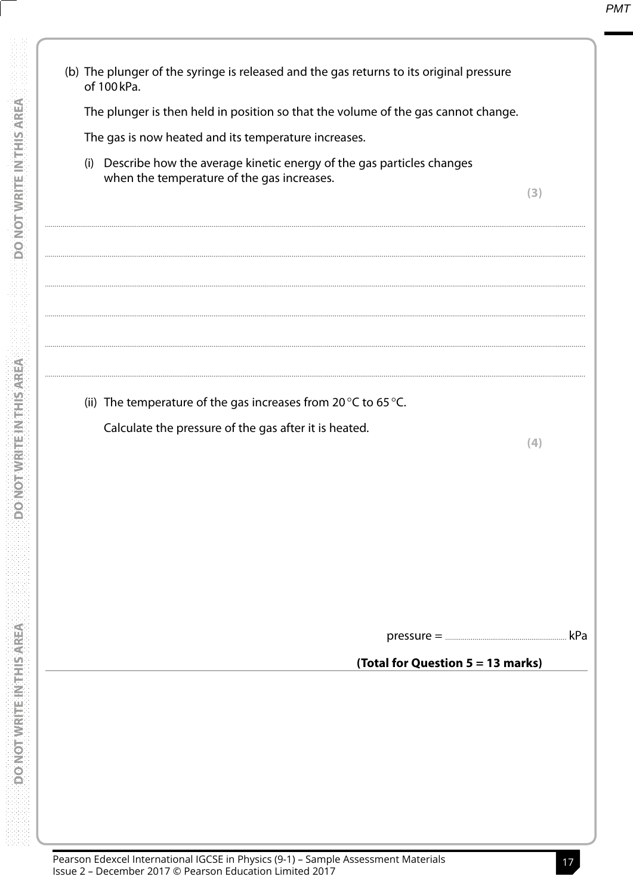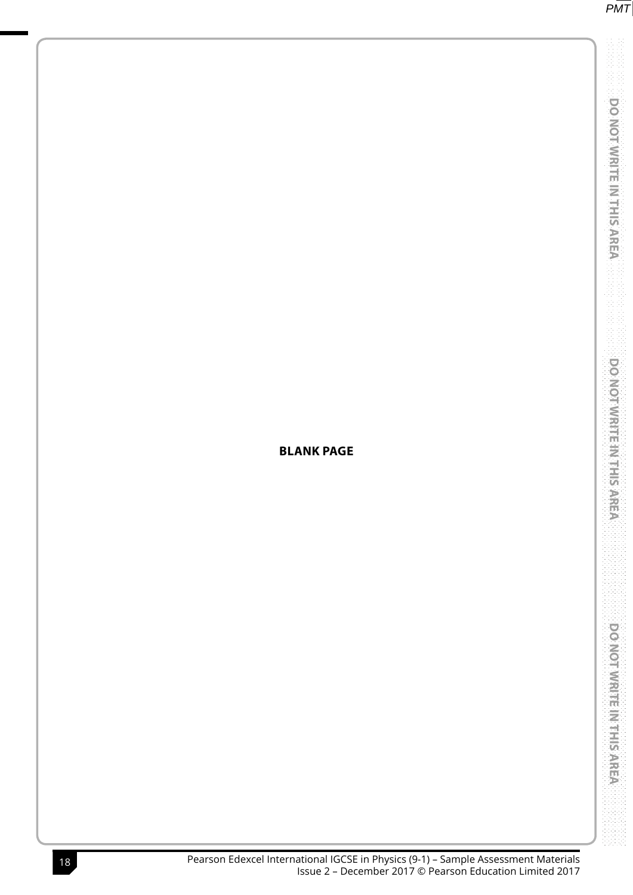DO NOT WRITE IN THIS AREA

888 89898

**BLANK PAGE**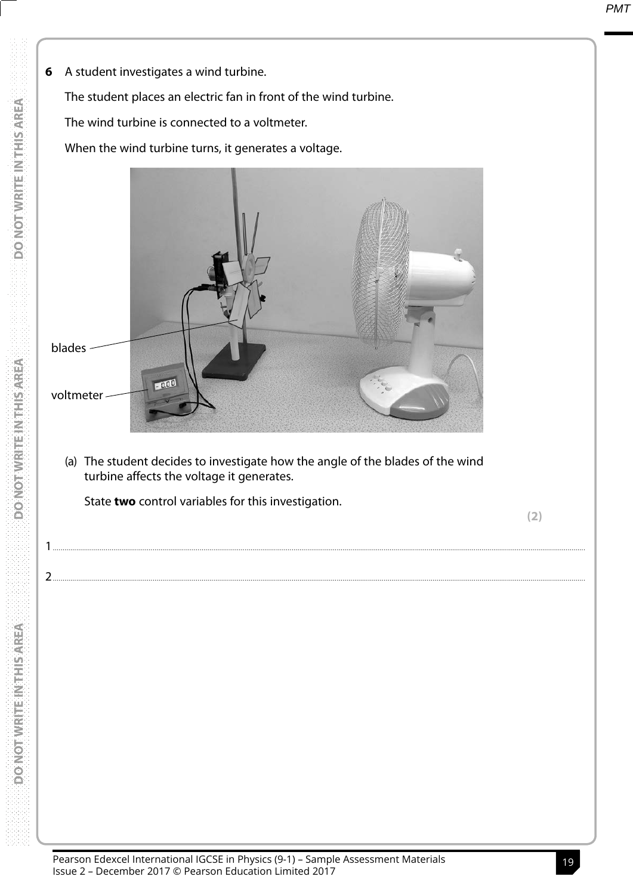**6** A student investigates a wind turbine.

The student places an electric fan in front of the wind turbine.

The wind turbine is connected to a voltmeter.

When the wind turbine turns, it generates a voltage.



(a) The student decides to investigate how the angle of the blades of the wind turbine affects the voltage it generates.

1................................................................................................................................................................................................................................................................................

State **two** control variables for this investigation.

2................................................................................................................................................................................................................................................................................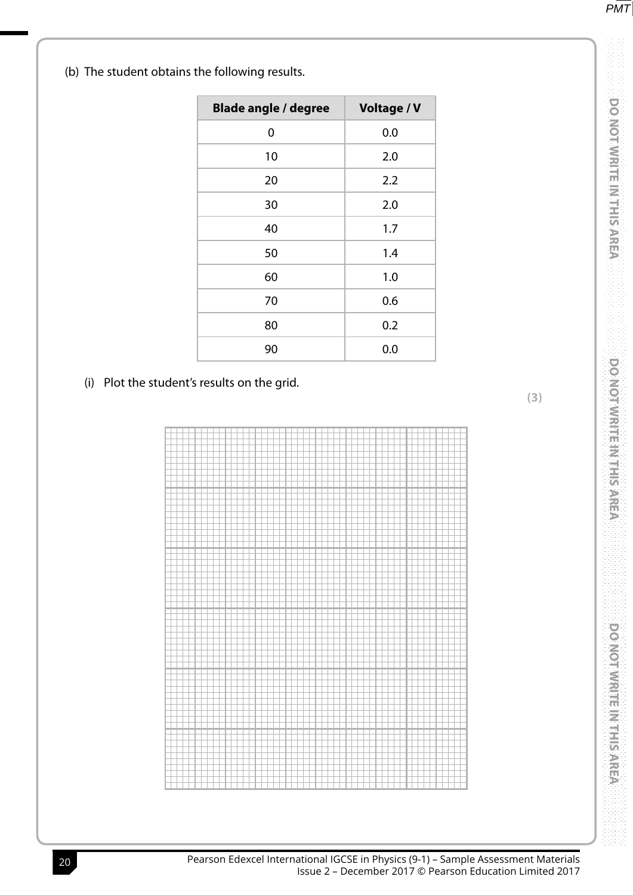DO NOT WRITEIN THIS AREA

(b) The student obtains the following results.

| <b>Blade angle / degree</b> | Voltage / V |
|-----------------------------|-------------|
| 0                           | 0.0         |
| 10                          | 2.0         |
| 20                          | 2.2         |
| 30                          | 2.0         |
| 40                          | 1.7         |
| 50                          | 1.4         |
| 60                          | 1.0         |
| 70                          | 0.6         |
| 80                          | 0.2         |
| 90                          | 0.0         |

(i) Plot the student's results on the grid.



**(3)**

행행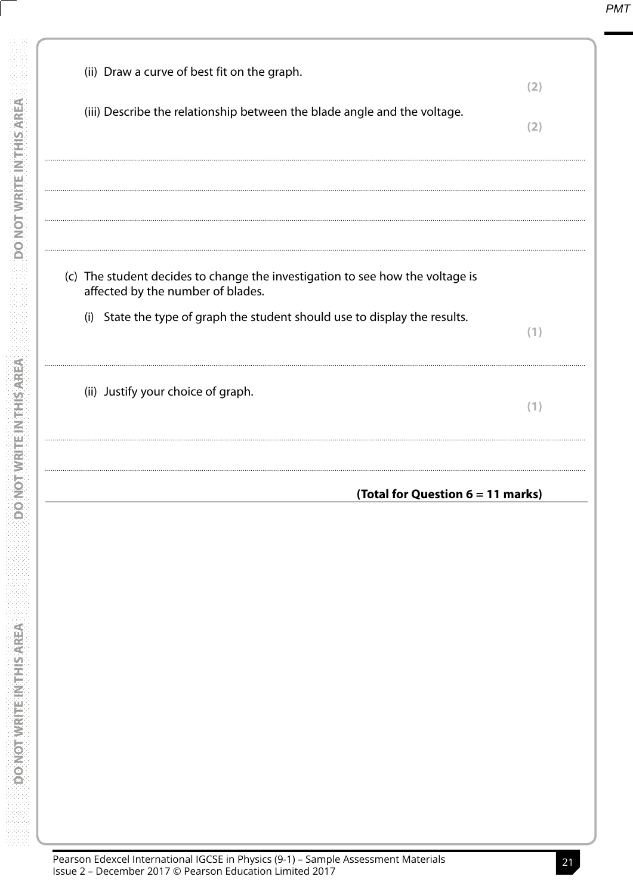| (ii) Draw a curve of best fit on the graph.                                                                        | (2) |
|--------------------------------------------------------------------------------------------------------------------|-----|
| (iii) Describe the relationship between the blade angle and the voltage.                                           | (2) |
|                                                                                                                    |     |
|                                                                                                                    |     |
| (c) The student decides to change the investigation to see how the voltage is<br>affected by the number of blades. |     |
| (i) State the type of graph the student should use to display the results.                                         | (1) |
| (ii) Justify your choice of graph.                                                                                 | (1) |
| (Total for Question 6 = 11 marks)                                                                                  |     |
|                                                                                                                    |     |
|                                                                                                                    |     |
|                                                                                                                    |     |
|                                                                                                                    |     |

**DO NOT WRITEIN THIS AREA** 

**DO NOT WRITE IN THIS AREA**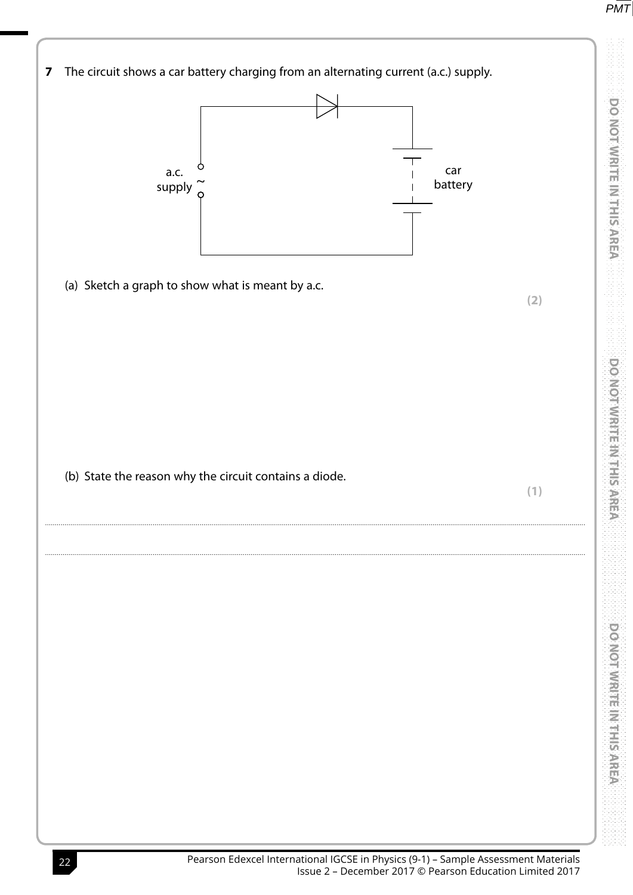

 **DO NOT WRITE IN THIS AREA DO NOT WRITE IN THIS AREA DO NOT WRITE IS AREA DO NOT WRITE IN THIS AREA** 

DO NOT WRITE IN THIS AREA

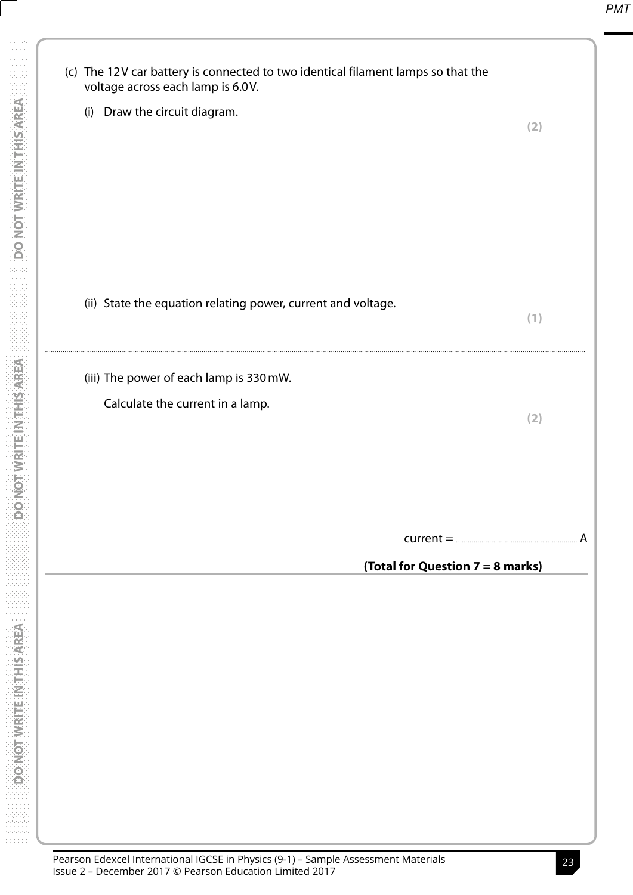| (c) The 12V car battery is connected to two identical filament lamps so that the<br>voltage across each lamp is 6.0V. |     |
|-----------------------------------------------------------------------------------------------------------------------|-----|
| (i) Draw the circuit diagram.                                                                                         | (2) |
|                                                                                                                       |     |
| (ii) State the equation relating power, current and voltage.                                                          |     |
|                                                                                                                       | (1) |
| (iii) The power of each lamp is 330 mW.                                                                               |     |
| Calculate the current in a lamp.                                                                                      | (2) |
|                                                                                                                       |     |
| $current = 1$                                                                                                         |     |
| (Total for Question 7 = 8 marks)                                                                                      |     |
|                                                                                                                       |     |
|                                                                                                                       |     |
|                                                                                                                       |     |
|                                                                                                                       |     |
|                                                                                                                       |     |
|                                                                                                                       |     |

 **DO NOT WRITE IN THIS AREA DO NOT WRITE IN THIS AREA DO NOT WRITE IN THIS AREA**

**DO NOT WRITE IN THIS AREA** 

**DO NOT WRITEIN THIS AREA**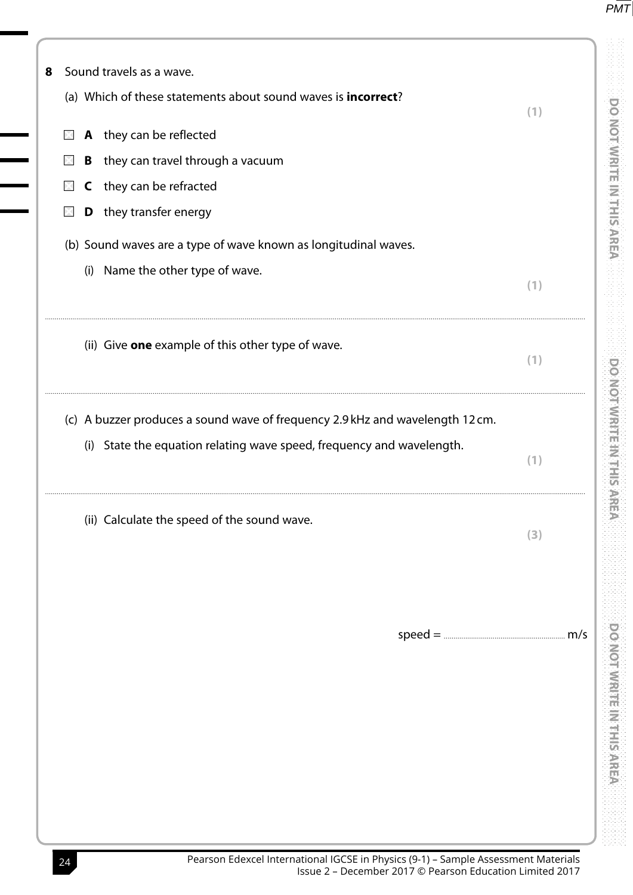**DO NOT WRITE IN THIS AREA** 

 **DO NOT WRITE IN THIS AREA DO NOT WRITE IN THIS AREA DO NOT WRITE IS AREA DO NOT WRITE IN THIS AREA** 

DO NOT WRITE INTHIS AREA

DO NOT WRITE IN THIS AREA

| 8 | Sound travels as a wave.                                                      |     |
|---|-------------------------------------------------------------------------------|-----|
|   | (a) Which of these statements about sound waves is <b>incorrect</b> ?         | (1) |
|   | A they can be reflected                                                       |     |
|   | <b>B</b> they can travel through a vacuum                                     |     |
|   | <b>C</b> they can be refracted<br>$\times$                                    |     |
|   | <b>D</b> they transfer energy                                                 |     |
|   | (b) Sound waves are a type of wave known as longitudinal waves.               |     |
|   | (i) Name the other type of wave.                                              | (1) |
|   | (ii) Give one example of this other type of wave.                             | (1) |
|   | (c) A buzzer produces a sound wave of frequency 2.9 kHz and wavelength 12 cm. |     |
|   | (i) State the equation relating wave speed, frequency and wavelength.         | (1) |
|   | (ii) Calculate the speed of the sound wave.                                   | (3) |
|   |                                                                               |     |
|   |                                                                               |     |
|   |                                                                               |     |
|   |                                                                               |     |
|   |                                                                               |     |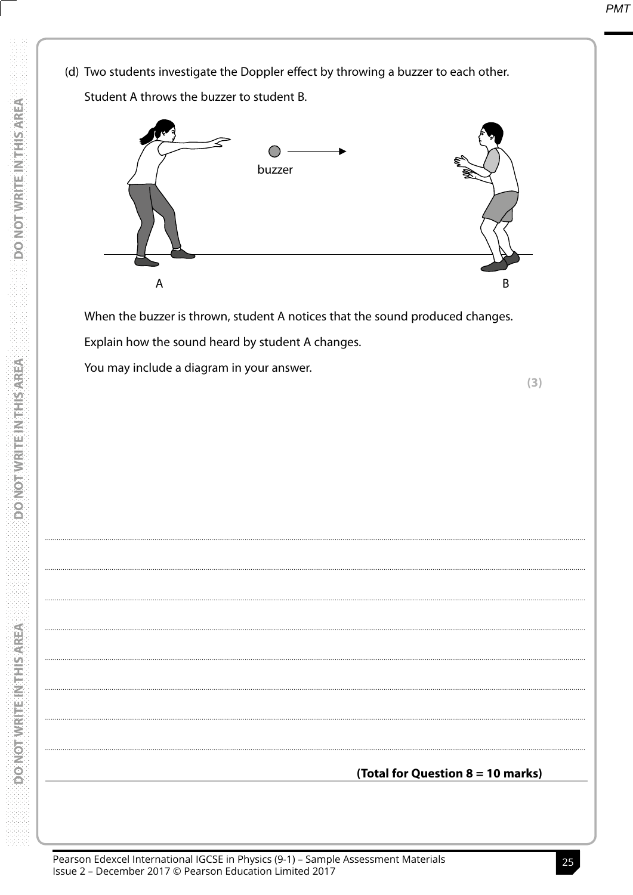(d) Two students investigate the Doppler effect by throwing a buzzer to each other.

Student A throws the buzzer to student B.



When the buzzer is thrown, student A notices that the sound produced changes.

Explain how the sound heard by student A changes.

You may include a diagram in your answer.

 $(3)$ 

# (Total for Question  $8 = 10$  marks)

**ASSISTMENT EN TENNITO CO**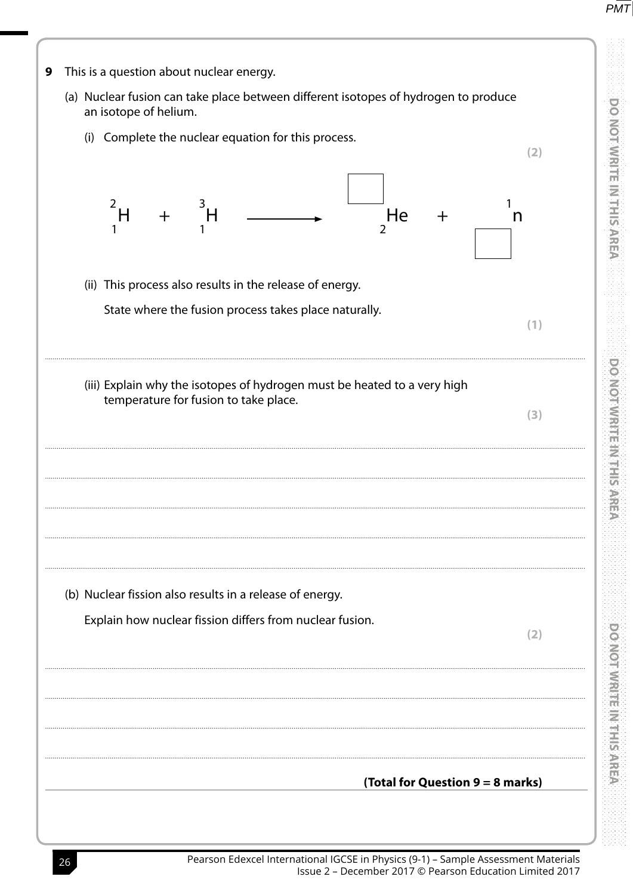This is a question about nuclear energy.  $\mathbf{9}$ (a) Nuclear fusion can take place between different isotopes of hydrogen to produce an isotope of helium. (i) Complete the nuclear equation for this process.  $(2)$  $2$ H  $\mathbf{1}$ 3  $H$ He  $+$ n  $\overline{2}$  $\mathbf{1}$ (ii) This process also results in the release of energy. State where the fusion process takes place naturally.  $(1)$ (iii) Explain why the isotopes of hydrogen must be heated to a very high temperature for fusion to take place.  $(3)$ (b) Nuclear fission also results in a release of energy. Explain how nuclear fission differs from nuclear fusion.  $(2)$ (Total for Question  $9 = 8$  marks) **PMT** 

**DO NOT WRITE IN THIS AREA** 

**DO NOT WRITEINTHIS AREA**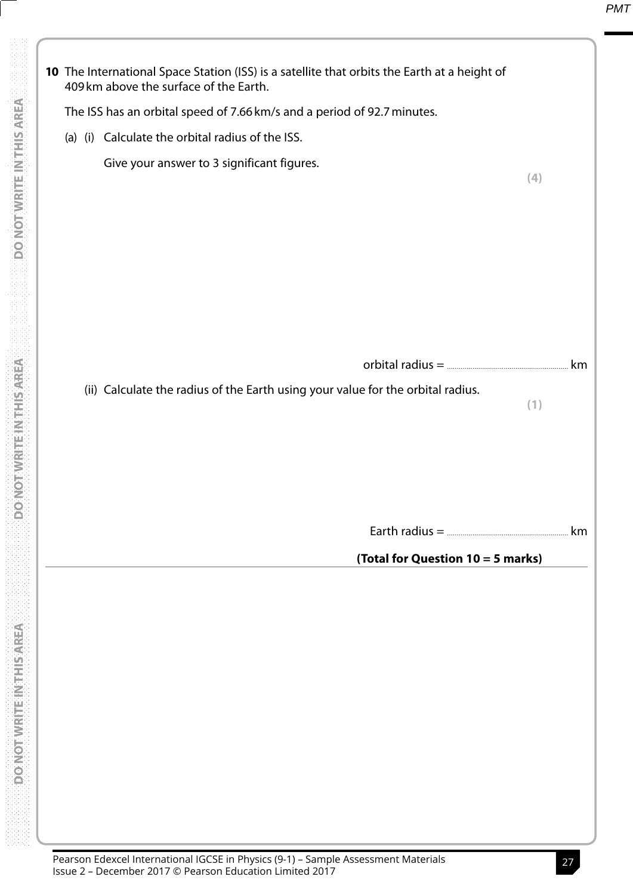| 10 The International Space Station (ISS) is a satellite that orbits the Earth at a height of<br>409 km above the surface of the Earth. |     |  |
|----------------------------------------------------------------------------------------------------------------------------------------|-----|--|
| The ISS has an orbital speed of 7.66 km/s and a period of 92.7 minutes.                                                                |     |  |
| (a) (i) Calculate the orbital radius of the ISS.                                                                                       |     |  |
| Give your answer to 3 significant figures.                                                                                             |     |  |
|                                                                                                                                        | (4) |  |
|                                                                                                                                        |     |  |
|                                                                                                                                        |     |  |
|                                                                                                                                        |     |  |
|                                                                                                                                        |     |  |
|                                                                                                                                        |     |  |
|                                                                                                                                        |     |  |
|                                                                                                                                        |     |  |
| (ii) Calculate the radius of the Earth using your value for the orbital radius.                                                        |     |  |
|                                                                                                                                        | (1) |  |
|                                                                                                                                        |     |  |
|                                                                                                                                        |     |  |
|                                                                                                                                        |     |  |
|                                                                                                                                        |     |  |
|                                                                                                                                        |     |  |
| (Total for Question 10 = 5 marks)                                                                                                      |     |  |
|                                                                                                                                        |     |  |
|                                                                                                                                        |     |  |
|                                                                                                                                        |     |  |
|                                                                                                                                        |     |  |
|                                                                                                                                        |     |  |
|                                                                                                                                        |     |  |
|                                                                                                                                        |     |  |
|                                                                                                                                        |     |  |
|                                                                                                                                        |     |  |
|                                                                                                                                        |     |  |
|                                                                                                                                        |     |  |

 **DO NOT WRITE IN THIS AREA DO NOT WRITE IN THIS AREA DO NOT WRITE IN THIS AREA**

**DO NOT WRITE IN THIS AREA** 

DO NOT WRITE IN THIS AREA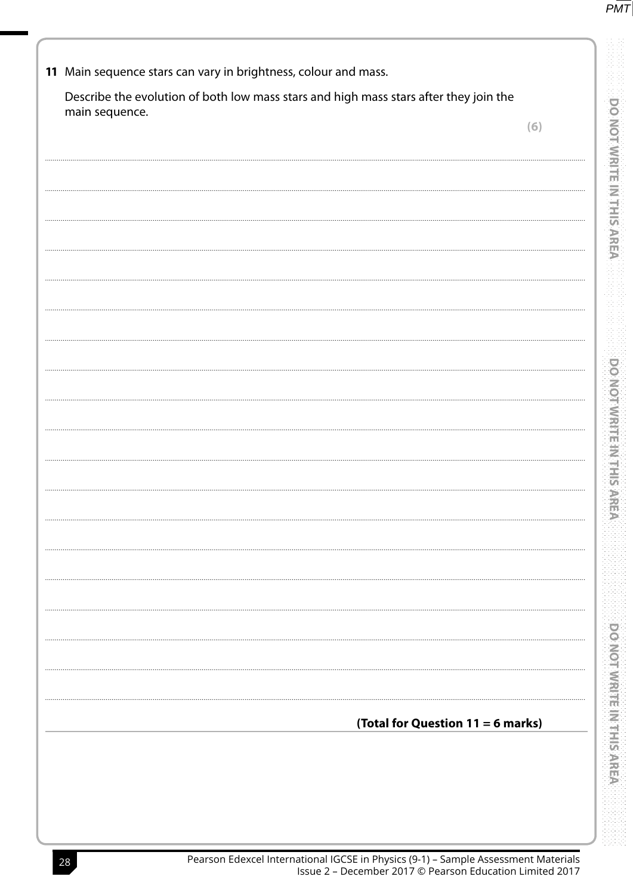| PMT |  |
|-----|--|
|     |  |
|     |  |
|     |  |

**DONOT WRISTERS AREA** 

**DO NOT WRITE IN THIS AREA** 

11 Main sequence stars can vary in brightness, colour and mass. Describe the evolution of both low mass stars and high mass stars after they join the main sequence.  $(6)$ (Total for Question 11 = 6 marks)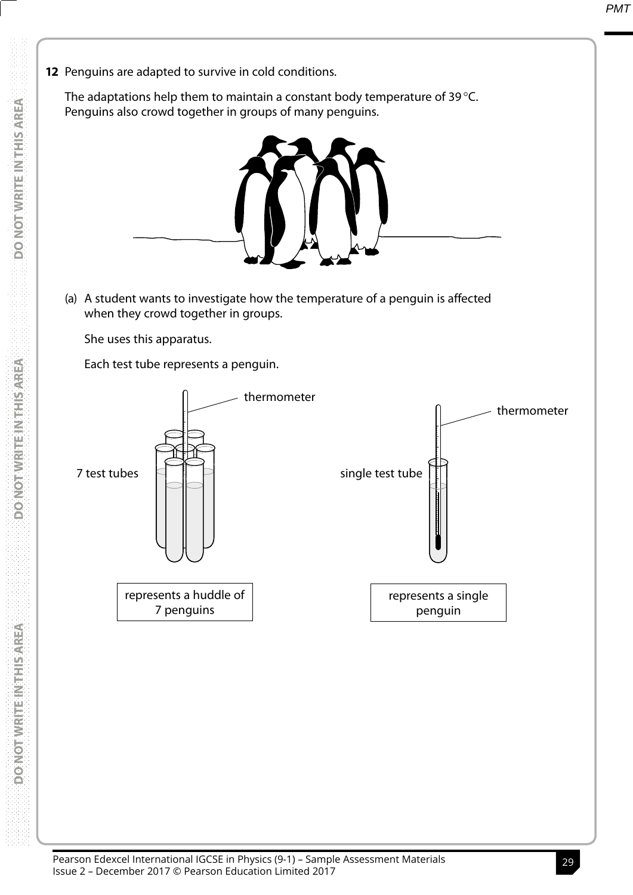**12** Penguins are adapted to survive in cold conditions. The adaptations help them to maintain a constant body temperature of 39 °C. Penguins also crowd together in groups of many penguins. (a) A student wants to investigate how the temperature of a penguin is affected when they crowd together in groups. She uses this apparatus. Each test tube represents a penguin. 7 test tubes represents a huddle of 7 penguins single test tube represents a single penguin thermometer thermometer

 **DO NOT WRITE IN THIS AREA DO NOT WRITE IN THIS AREA DO NOT WRITE IN THIS AREA**

**ASSISTING IN THIS AREA** 

**DO NOT WRITE INTHIS AREA**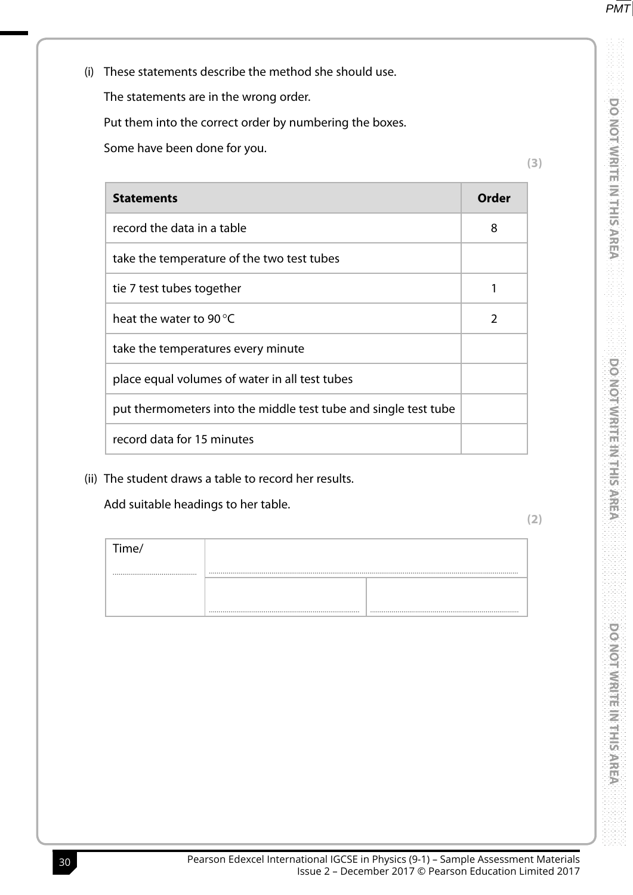DO NOT WRITE IN THIS AREA

(i) These statements describe the method she should use.

The statements are in the wrong order.

Put them into the correct order by numbering the boxes.

Some have been done for you.

**(3)**

| <b>Statements</b>                                               | Order         |
|-----------------------------------------------------------------|---------------|
| record the data in a table                                      | 8             |
| take the temperature of the two test tubes                      |               |
| tie 7 test tubes together                                       | 1             |
| heat the water to 90 $\degree$ C                                | $\mathcal{P}$ |
| take the temperatures every minute                              |               |
| place equal volumes of water in all test tubes                  |               |
| put thermometers into the middle test tube and single test tube |               |
| record data for 15 minutes                                      |               |

## (ii) The student draws a table to record her results.

Add suitable headings to her table.

**(2)**

| Time/ |  |
|-------|--|
|       |  |
|       |  |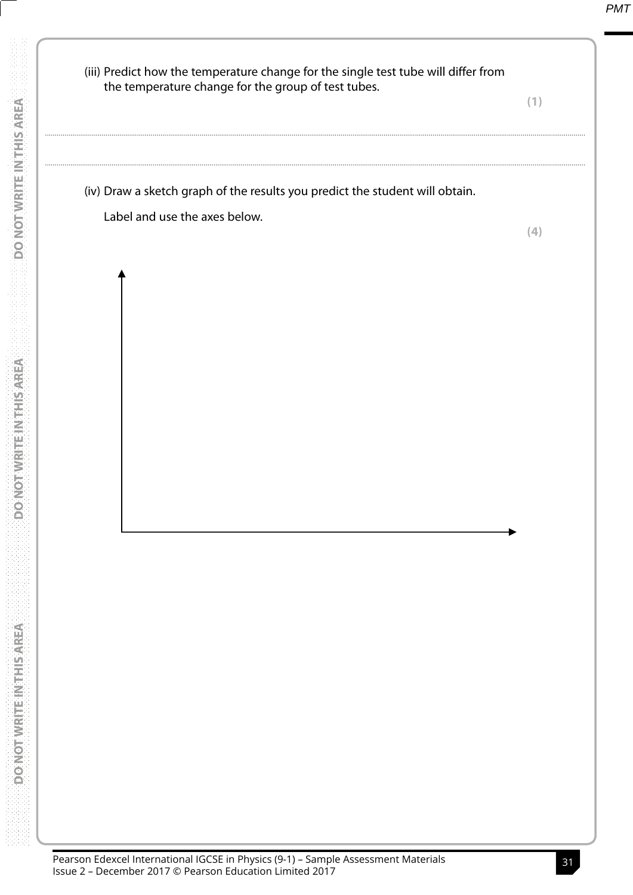**DO NOT WRITEIN THIS AREA** 

 (iii) Predict how the temperature change for the single test tube will differ from the temperature change for the group of test tubes.

(iv) Draw a sketch graph of the results you predict the student will obtain.

....................................................................................................................................................................................................................................................................................

....................................................................................................................................................................................................................................................................................

Label and use the axes below.

**(4)**

**(1)**